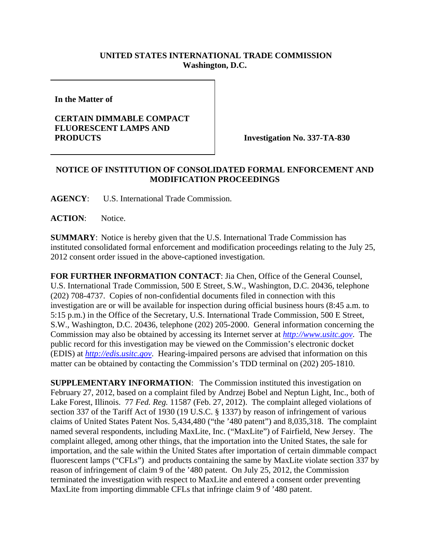## **UNITED STATES INTERNATIONAL TRADE COMMISSION Washington, D.C.**

**In the Matter of** 

## **CERTAIN DIMMABLE COMPACT FLUORESCENT LAMPS AND PRODUCTS** Investigation No. 337-TA-830

## **NOTICE OF INSTITUTION OF CONSOLIDATED FORMAL ENFORCEMENT AND MODIFICATION PROCEEDINGS**

**AGENCY**: U.S. International Trade Commission.

ACTION: Notice.

**SUMMARY**: Notice is hereby given that the U.S. International Trade Commission has instituted consolidated formal enforcement and modification proceedings relating to the July 25, 2012 consent order issued in the above-captioned investigation.

**FOR FURTHER INFORMATION CONTACT**: Jia Chen, Office of the General Counsel, U.S. International Trade Commission, 500 E Street, S.W., Washington, D.C. 20436, telephone (202) 708-4737. Copies of non-confidential documents filed in connection with this investigation are or will be available for inspection during official business hours (8:45 a.m. to 5:15 p.m.) in the Office of the Secretary, U.S. International Trade Commission, 500 E Street, S.W., Washington, D.C. 20436, telephone (202) 205-2000. General information concerning the Commission may also be obtained by accessing its Internet server at *http://www.usitc.gov*. The public record for this investigation may be viewed on the Commission's electronic docket (EDIS) at *http://edis.usitc.gov*. Hearing-impaired persons are advised that information on this matter can be obtained by contacting the Commission's TDD terminal on (202) 205-1810.

**SUPPLEMENTARY INFORMATION:** The Commission instituted this investigation on February 27, 2012, based on a complaint filed by Andrzej Bobel and Neptun Light, Inc., both of Lake Forest, Illinois. 77 *Fed. Reg.* 11587 (Feb. 27, 2012). The complaint alleged violations of section 337 of the Tariff Act of 1930 (19 U.S.C. § 1337) by reason of infringement of various claims of United States Patent Nos. 5,434,480 ("the '480 patent") and 8,035,318. The complaint named several respondents, including MaxLite, Inc. ("MaxLite") of Fairfield, New Jersey. The complaint alleged, among other things, that the importation into the United States, the sale for importation, and the sale within the United States after importation of certain dimmable compact fluorescent lamps ("CFLs") and products containing the same by MaxLite violate section 337 by reason of infringement of claim 9 of the '480 patent. On July 25, 2012, the Commission terminated the investigation with respect to MaxLite and entered a consent order preventing MaxLite from importing dimmable CFLs that infringe claim 9 of '480 patent.